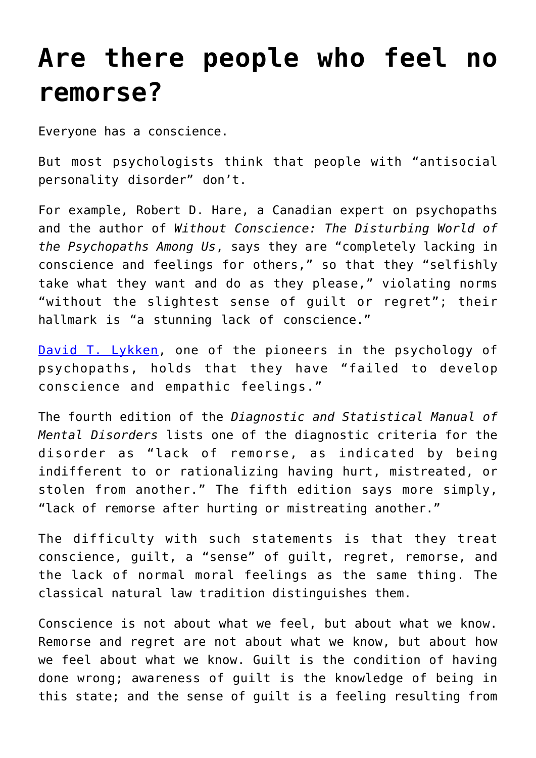## **[Are there people who feel no](https://intellectualtakeout.org/2016/01/are-there-people-who-feel-no-remorse/) [remorse?](https://intellectualtakeout.org/2016/01/are-there-people-who-feel-no-remorse/)**

Everyone has a conscience.

But most psychologists think that people with "antisocial personality disorder" don't.

For example, Robert D. Hare, a Canadian expert on psychopaths and the author of *Without Conscience: The Disturbing World of the Psychopaths Among Us*, says they are "completely lacking in conscience and feelings for others," so that they "selfishly take what they want and do as they please," violating norms "without the slightest sense of guilt or regret"; their hallmark is "a stunning lack of conscience."

[David T. Lykken](http://www.nytimes.com/2006/09/20/obituaries/20lykken.html?_r=0), one of the pioneers in the psychology of psychopaths, holds that they have "failed to develop conscience and empathic feelings."

The fourth edition of the *Diagnostic and Statistical Manual of Mental Disorders* lists one of the diagnostic criteria for the disorder as "lack of remorse, as indicated by being indifferent to or rationalizing having hurt, mistreated, or stolen from another." The fifth edition says more simply, "lack of remorse after hurting or mistreating another."

The difficulty with such statements is that they treat conscience, guilt, a "sense" of guilt, regret, remorse, and the lack of normal moral feelings as the same thing. The classical natural law tradition distinguishes them.

Conscience is not about what we feel, but about what we know. Remorse and regret are not about what we know, but about how we feel about what we know. Guilt is the condition of having done wrong; awareness of guilt is the knowledge of being in this state; and the sense of guilt is a feeling resulting from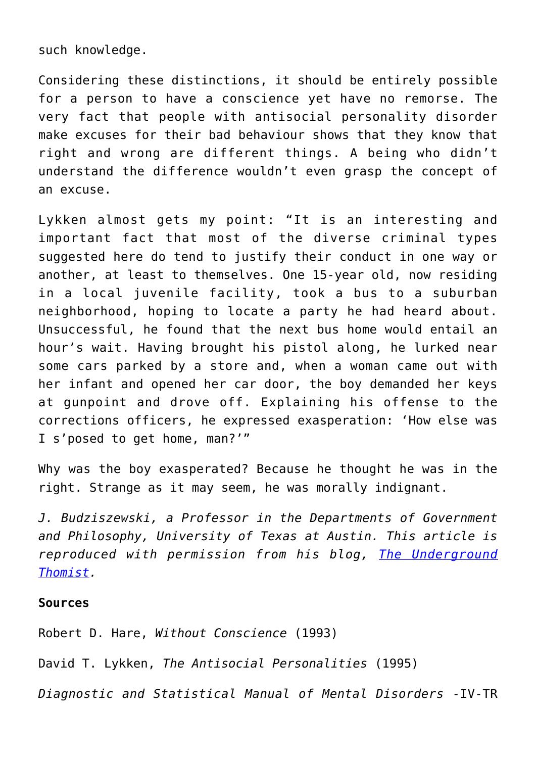such knowledge.

Considering these distinctions, it should be entirely possible for a person to have a conscience yet have no remorse. The very fact that people with antisocial personality disorder make excuses for their bad behaviour shows that they know that right and wrong are different things. A being who didn't understand the difference wouldn't even grasp the concept of an excuse.

Lykken almost gets my point: "It is an interesting and important fact that most of the diverse criminal types suggested here do tend to justify their conduct in one way or another, at least to themselves. One 15-year old, now residing in a local juvenile facility, took a bus to a suburban neighborhood, hoping to locate a party he had heard about. Unsuccessful, he found that the next bus home would entail an hour's wait. Having brought his pistol along, he lurked near some cars parked by a store and, when a woman came out with her infant and opened her car door, the boy demanded her keys at gunpoint and drove off. Explaining his offense to the corrections officers, he expressed exasperation: 'How else was I s'posed to get home, man?'"

Why was the boy exasperated? Because he thought he was in the right. Strange as it may seem, he was morally indignant.

*J. Budziszewski, a Professor in the Departments of Government and Philosophy, University of Texas at Austin. This article is reproduced with permission from his blog, [The Underground](http://www.undergroundthomist.org/remorseless) [Thomist](http://www.undergroundthomist.org/remorseless).* 

## **Sources**

Robert D. Hare, *Without Conscience* (1993)

David T. Lykken, *The Antisocial Personalities* (1995)

*Diagnostic and Statistical Manual of Mental Disorders* -IV-TR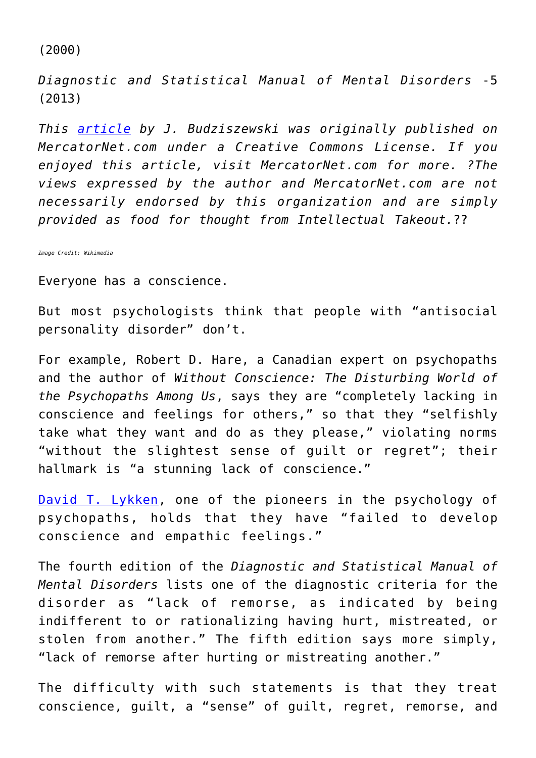(2000)

*Diagnostic and Statistical Manual of Mental Disorders* -5 (2013)

*This [article](http://www.mercatornet.com/articles/view/are-there-people-who-feel-no-remorse/17481) by J. Budziszewski was originally published on MercatorNet.com under a Creative Commons License. If you enjoyed this article, visit MercatorNet.com for more. ?The views expressed by the author and MercatorNet.com are not necessarily endorsed by this organization and are simply provided as food for thought from Intellectual Takeout.*??

*Image Credit: Wikimedia*

Everyone has a conscience.

But most psychologists think that people with "antisocial personality disorder" don't.

For example, Robert D. Hare, a Canadian expert on psychopaths and the author of *Without Conscience: The Disturbing World of the Psychopaths Among Us*, says they are "completely lacking in conscience and feelings for others," so that they "selfishly take what they want and do as they please," violating norms "without the slightest sense of guilt or regret"; their hallmark is "a stunning lack of conscience."

[David T. Lykken](http://www.nytimes.com/2006/09/20/obituaries/20lykken.html?_r=0), one of the pioneers in the psychology of psychopaths, holds that they have "failed to develop conscience and empathic feelings."

The fourth edition of the *Diagnostic and Statistical Manual of Mental Disorders* lists one of the diagnostic criteria for the disorder as "lack of remorse, as indicated by being indifferent to or rationalizing having hurt, mistreated, or stolen from another." The fifth edition says more simply, "lack of remorse after hurting or mistreating another."

The difficulty with such statements is that they treat conscience, guilt, a "sense" of guilt, regret, remorse, and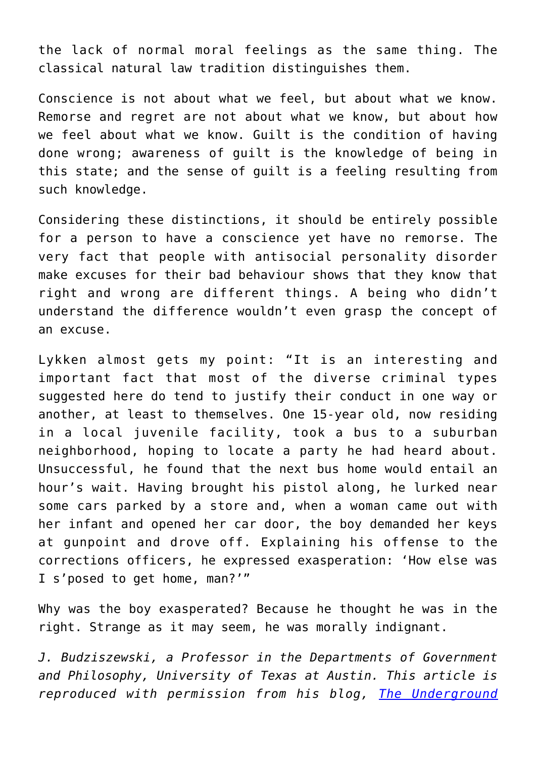the lack of normal moral feelings as the same thing. The classical natural law tradition distinguishes them.

Conscience is not about what we feel, but about what we know. Remorse and regret are not about what we know, but about how we feel about what we know. Guilt is the condition of having done wrong; awareness of guilt is the knowledge of being in this state; and the sense of guilt is a feeling resulting from such knowledge.

Considering these distinctions, it should be entirely possible for a person to have a conscience yet have no remorse. The very fact that people with antisocial personality disorder make excuses for their bad behaviour shows that they know that right and wrong are different things. A being who didn't understand the difference wouldn't even grasp the concept of an excuse.

Lykken almost gets my point: "It is an interesting and important fact that most of the diverse criminal types suggested here do tend to justify their conduct in one way or another, at least to themselves. One 15-year old, now residing in a local juvenile facility, took a bus to a suburban neighborhood, hoping to locate a party he had heard about. Unsuccessful, he found that the next bus home would entail an hour's wait. Having brought his pistol along, he lurked near some cars parked by a store and, when a woman came out with her infant and opened her car door, the boy demanded her keys at gunpoint and drove off. Explaining his offense to the corrections officers, he expressed exasperation: 'How else was I s'posed to get home, man?'"

Why was the boy exasperated? Because he thought he was in the right. Strange as it may seem, he was morally indignant.

*J. Budziszewski, a Professor in the Departments of Government and Philosophy, University of Texas at Austin. This article is reproduced with permission from his blog, [The Underground](http://www.undergroundthomist.org/remorseless)*